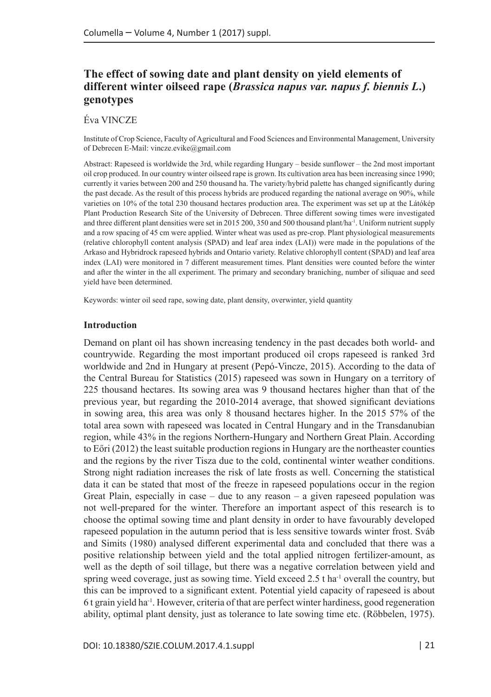# **The effect of sowing date and plant density on yield elements of different winter oilseed rape (***Brassica napus var. napus f. biennis L***.) genotypes**

### Éva VINCZE

Institute of Crop Science, Faculty of Agricultural and Food Sciences and Environmental Management, University of Debrecen E-Mail: vincze.evike@gmail.com

Abstract: Rapeseed is worldwide the 3rd, while regarding Hungary – beside sunflower – the 2nd most important oil crop produced. In our country winter oilseed rape is grown. Its cultivation area has been increasing since 1990; currently it varies between 200 and 250 thousand ha. The variety/hybrid palette has changed significantly during the past decade. As the result of this process hybrids are produced regarding the national average on 90%, while varieties on 10% of the total 230 thousand hectares production area. The experiment was set up at the Látókép Plant Production Research Site of the University of Debrecen. Three different sowing times were investigated and three different plant densities were set in 2015 200, 350 and 500 thousand plant/ha<sup>-1</sup>. Uniform nutrient supply and a row spacing of 45 cm were applied. Winter wheat was used as pre-crop. Plant physiological measurements (relative chlorophyll content analysis (SPAD) and leaf area index (LAI)) were made in the populations of the Arkaso and Hybridrock rapeseed hybrids and Ontario variety. Relative chlorophyll content (SPAD) and leaf area index (LAI) were monitored in 7 different measurement times. Plant densities were counted before the winter and after the winter in the all experiment. The primary and secondary braniching, number of siliquae and seed yield have been determined.

Keywords: winter oil seed rape, sowing date, plant density, overwinter, yield quantity

#### **Introduction**

Demand on plant oil has shown increasing tendency in the past decades both world- and countrywide. Regarding the most important produced oil crops rapeseed is ranked 3rd worldwide and 2nd in Hungary at present (Pepó-Vincze, 2015). According to the data of the Central Bureau for Statistics (2015) rapeseed was sown in Hungary on a territory of 225 thousand hectares. Its sowing area was 9 thousand hectares higher than that of the previous year, but regarding the 2010-2014 average, that showed significant deviations in sowing area, this area was only 8 thousand hectares higher. In the 2015 57% of the total area sown with rapeseed was located in Central Hungary and in the Transdanubian region, while 43% in the regions Northern-Hungary and Northern Great Plain. According to Eőri (2012) the least suitable production regions in Hungary are the northeaster counties and the regions by the river Tisza due to the cold, continental winter weather conditions. Strong night radiation increases the risk of late frosts as well. Concerning the statistical data it can be stated that most of the freeze in rapeseed populations occur in the region Great Plain, especially in case – due to any reason – a given rapeseed population was not well-prepared for the winter. Therefore an important aspect of this research is to choose the optimal sowing time and plant density in order to have favourably developed rapeseed population in the autumn period that is less sensitive towards winter frost. Sváb and Simits (1980) analysed different experimental data and concluded that there was a positive relationship between yield and the total applied nitrogen fertilizer-amount, as well as the depth of soil tillage, but there was a negative correlation between yield and spring weed coverage, just as sowing time. Yield exceed 2.5 t ha<sup>-1</sup> overall the country, but this can be improved to a significant extent. Potential yield capacity of rapeseed is about 6 t grain yield ha-1. However, criteria of that are perfect winter hardiness, good regeneration ability, optimal plant density, just as tolerance to late sowing time etc. (Röbbelen, 1975).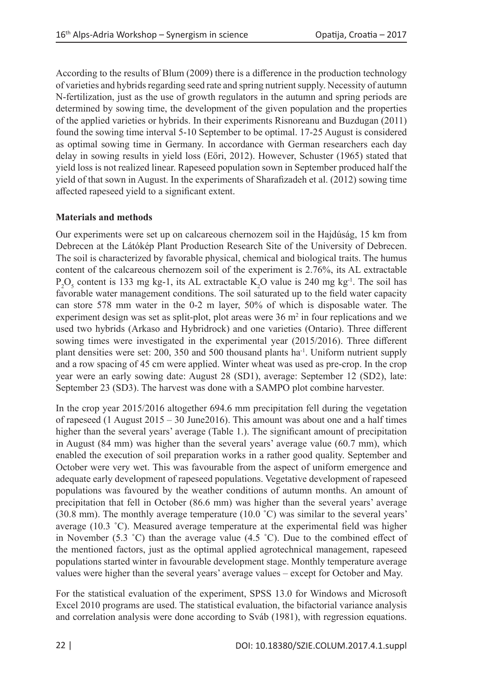According to the results of Blum (2009) there is a difference in the production technology of varieties and hybrids regarding seed rate and spring nutrient supply. Necessity of autumn N-fertilization, just as the use of growth regulators in the autumn and spring periods are determined by sowing time, the development of the given population and the properties of the applied varieties or hybrids. In their experiments Risnoreanu and Buzdugan (2011) found the sowing time interval 5-10 September to be optimal. 17-25 August is considered as optimal sowing time in Germany. In accordance with German researchers each day delay in sowing results in yield loss (Eőri, 2012). However, Schuster (1965) stated that yield loss is not realized linear. Rapeseed population sown in September produced half the yield of that sown in August. In the experiments of Sharafizadeh et al. (2012) sowing time affected rapeseed yield to a significant extent.

# **Materials and methods**

Our experiments were set up on calcareous chernozem soil in the Hajdúság, 15 km from Debrecen at the Látókép Plant Production Research Site of the University of Debrecen. The soil is characterized by favorable physical, chemical and biological traits. The humus content of the calcareous chernozem soil of the experiment is 2.76%, its AL extractable  $P_2O_5$  content is 133 mg kg-1, its AL extractable K<sub>2</sub>O value is 240 mg kg<sup>-1</sup>. The soil has favorable water management conditions. The soil saturated up to the field water capacity can store 578 mm water in the 0-2 m layer, 50% of which is disposable water. The experiment design was set as split-plot, plot areas were  $36 \text{ m}^2$  in four replications and we used two hybrids (Arkaso and Hybridrock) and one varieties (Ontario). Three different sowing times were investigated in the experimental year (2015/2016). Three different plant densities were set: 200, 350 and 500 thousand plants ha-1. Uniform nutrient supply and a row spacing of 45 cm were applied. Winter wheat was used as pre-crop. In the crop year were an early sowing date: August 28 (SD1), average: September 12 (SD2), late: September 23 (SD3). The harvest was done with a SAMPO plot combine harvester.

In the crop year 2015/2016 altogether 694.6 mm precipitation fell during the vegetation of rapeseed (1 August  $2015 - 30$  June $2016$ ). This amount was about one and a half times higher than the several years' average (Table 1.). The significant amount of precipitation in August (84 mm) was higher than the several years' average value (60.7 mm), which enabled the execution of soil preparation works in a rather good quality. September and October were very wet. This was favourable from the aspect of uniform emergence and adequate early development of rapeseed populations. Vegetative development of rapeseed populations was favoured by the weather conditions of autumn months. An amount of precipitation that fell in October (86.6 mm) was higher than the several years' average (30.8 mm). The monthly average temperature (10.0  $^{\circ}$ C) was similar to the several years' average (10.3 ˚C). Measured average temperature at the experimental field was higher in November (5.3  $\degree$ C) than the average value (4.5  $\degree$ C). Due to the combined effect of the mentioned factors, just as the optimal applied agrotechnical management, rapeseed populations started winter in favourable development stage. Monthly temperature average values were higher than the several years' average values – except for October and May.

For the statistical evaluation of the experiment, SPSS 13.0 for Windows and Microsoft Excel 2010 programs are used. The statistical evaluation, the bifactorial variance analysis and correlation analysis were done according to Sváb (1981), with regression equations.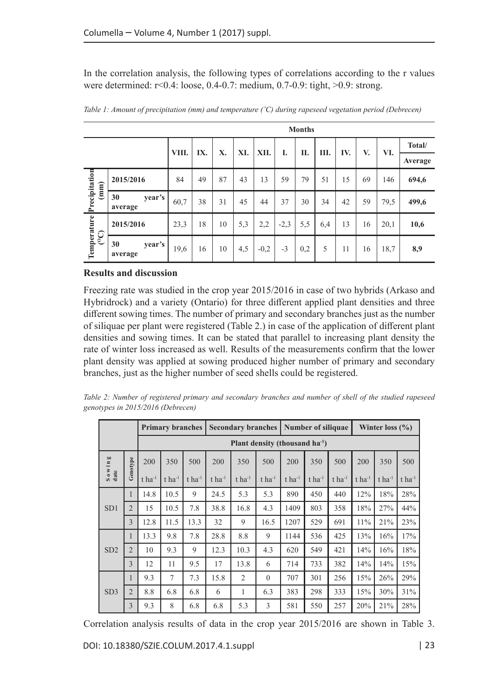In the correlation analysis, the following types of correlations according to the r values were determined: r<0.4: loose, 0.4-0.7: medium, 0.7-0.9: tight, >0.9: strong.

|                                  |                         | <b>Months</b> |     |    |     |        |        |     |     |     |    |      |         |
|----------------------------------|-------------------------|---------------|-----|----|-----|--------|--------|-----|-----|-----|----|------|---------|
|                                  |                         | VIII.         | IX. | X. | XI. | XII.   | I.     | П.  | Ш.  | IV. | V. | VI.  | Total/  |
|                                  |                         |               |     |    |     |        |        |     |     |     |    |      | Average |
| (mm)                             | 2015/2016               | 84            | 49  | 87 | 43  | 13     | 59     | 79  | 51  | 15  | 69 | 146  | 694,6   |
| Precipitation                    | 30<br>year's<br>average | 60,7          | 38  | 31 | 45  | 44     | 37     | 30  | 34  | 42  | 59 | 79,5 | 499,6   |
|                                  | 2015/2016               | 23,3          | 18  | 10 | 5,3 | 2,2    | $-2,3$ | 5,5 | 6,4 | 13  | 16 | 20,1 | 10,6    |
| Temperature<br>( <sup>o</sup> C) | 30<br>year's<br>average | 19,6          | 16  | 10 | 4,5 | $-0,2$ | $-3$   | 0,2 | 5   | 11  | 16 | 18,7 | 8,9     |

*Table 1: Amount of precipitation (mm) and temperature (˚C) during rapeseed vegetation period (Debrecen)*

## **Results and discussion**

Freezing rate was studied in the crop year 2015/2016 in case of two hybrids (Arkaso and Hybridrock) and a variety (Ontario) for three different applied plant densities and three different sowing times. The number of primary and secondary branches just as the number of siliquae per plant were registered (Table 2.) in case of the application of different plant densities and sowing times. It can be stated that parallel to increasing plant density the rate of winter loss increased as well. Results of the measurements confirm that the lower plant density was applied at sowing produced higher number of primary and secondary branches, just as the higher number of seed shells could be registered.

*Table 2: Number of registered primary and secondary branches and number of shell of the studied rapeseed genotypes in 2015/2016 (Debrecen)*

|                 |                | <b>Primary branches</b>                    |                      |                      | <b>Secondary branches</b> |                      |                      | <b>Number of siliquae</b> |                      |                      | Winter loss $(\% )$  |                      |                      |  |
|-----------------|----------------|--------------------------------------------|----------------------|----------------------|---------------------------|----------------------|----------------------|---------------------------|----------------------|----------------------|----------------------|----------------------|----------------------|--|
|                 |                | Plant density (thousand ha <sup>-1</sup> ) |                      |                      |                           |                      |                      |                           |                      |                      |                      |                      |                      |  |
|                 |                | 200                                        | 350                  | 500                  | 200                       | 350                  | 500                  | 200                       | 350                  | 500                  | 200                  | 350                  | 500                  |  |
| Sowing<br>date  | Genotype       | $t$ ha <sup>-1</sup>                       | $t$ ha <sup>-1</sup> | $t$ ha <sup>-1</sup> | $t$ ha <sup>-1</sup>      | $t$ ha <sup>-1</sup> | $t$ ha <sup>-1</sup> | $t$ ha <sup>-1</sup>      | $t$ ha <sup>-1</sup> | $t$ ha <sup>-1</sup> | $t$ ha <sup>-1</sup> | $t$ ha <sup>-1</sup> | $t$ ha <sup>-1</sup> |  |
|                 |                | 14.8                                       | 10.5                 | 9                    | 24.5                      | 5.3                  | 5.3                  | 890                       | 450                  | 440                  | 12%                  | 18%                  | 28%                  |  |
| SD <sub>1</sub> | $\overline{2}$ | 15                                         | 10.5                 | 7.8                  | 38.8                      | 16.8                 | 4.3                  | 1409                      | 803                  | 358                  | 18%                  | 27%                  | 44%                  |  |
|                 | 3              | 12.8                                       | 11.5                 | 13.3                 | 32                        | 9                    | 16.5                 | 1207                      | 529                  | 691                  | 11%                  | 21%                  | 23%                  |  |
|                 | 1              | 13.3                                       | 9.8                  | 7.8                  | 28.8                      | 8.8                  | 9                    | 1144                      | 536                  | 425                  | 13%                  | 16%                  | 17%                  |  |
| SD <sub>2</sub> | $\overline{2}$ | 10                                         | 9.3                  | 9                    | 12.3                      | 10.3                 | 4.3                  | 620                       | 549                  | 421                  | 14%                  | 16%                  | 18%                  |  |
|                 | 3              | 12                                         | 11                   | 9.5                  | 17                        | 13.8                 | 6                    | 714                       | 733                  | 382                  | 14%                  | 14%                  | 15%                  |  |
|                 | 1              | 9.3                                        | 7                    | 7.3                  | 15.8                      | $\overline{2}$       | $\theta$             | 707                       | 301                  | 256                  | 15%                  | 26%                  | 29%                  |  |
| SD3             | $\overline{2}$ | 8.8                                        | 6.8                  | 6.8                  | 6                         | 1                    | 6.3                  | 383                       | 298                  | 333                  | 15%                  | 30%                  | 31%                  |  |
|                 | 3              | 9.3                                        | 8                    | 6.8                  | 6.8                       | 5.3                  | 3                    | 581                       | 550                  | 257                  | 20%                  | 21%                  | 28%                  |  |

Correlation analysis results of data in the crop year 2015/2016 are shown in Table 3.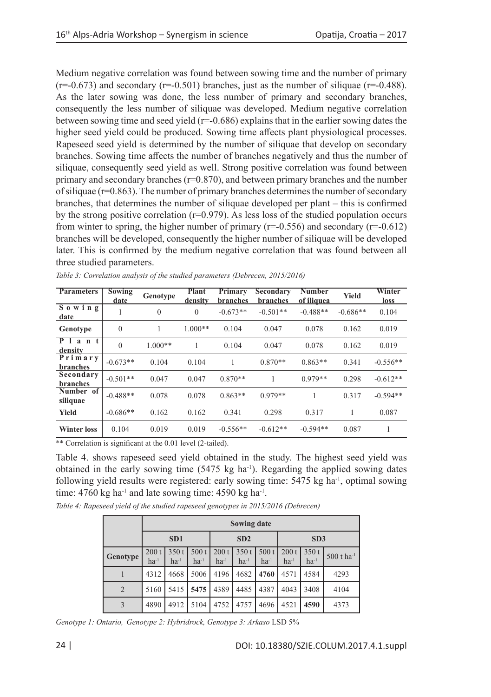Medium negative correlation was found between sowing time and the number of primary  $(r=-0.673)$  and secondary  $(r=-0.501)$  branches, just as the number of siliquae  $(r=-0.488)$ . As the later sowing was done, the less number of primary and secondary branches, consequently the less number of siliquae was developed. Medium negative correlation between sowing time and seed yield (r=-0.686) explains that in the earlier sowing dates the higher seed yield could be produced. Sowing time affects plant physiological processes. Rapeseed seed yield is determined by the number of siliquae that develop on secondary branches. Sowing time affects the number of branches negatively and thus the number of siliquae, consequently seed yield as well. Strong positive correlation was found between primary and secondary branches (r=0.870), and between primary branches and the number of siliquae (r=0.863). The number of primary branches determines the number of secondary branches, that determines the number of siliquae developed per plant – this is confirmed by the strong positive correlation  $(r=0.979)$ . As less loss of the studied population occurs from winter to spring, the higher number of primary ( $r=-0.556$ ) and secondary ( $r=-0.612$ ) branches will be developed, consequently the higher number of siliquae will be developed later. This is confirmed by the medium negative correlation that was found between all three studied parameters.

| <b>Parameters</b>                  | <b>Sowing</b><br>date | Genotype     | <b>Plant</b><br>density | Primary<br><b>branches</b> | Secondary<br><b>branches</b> | <b>Number</b><br>of iliquea | <b>Yield</b> | Winter<br><u>loss</u> |
|------------------------------------|-----------------------|--------------|-------------------------|----------------------------|------------------------------|-----------------------------|--------------|-----------------------|
| Sowing<br>date                     |                       | $\mathbf{0}$ | $\mathbf{0}$            | $-0.673**$                 | $-0.501**$                   | $-0.488**$                  | $-0.686**$   | 0.104                 |
| Genotype                           | $\overline{0}$        |              | $1.000**$               | 0.104                      | 0.047                        | 0.078                       | 0.162        | 0.019                 |
| $\overline{P}$ 1<br>ant<br>density | $\mathbf{0}$          | $1.000**$    |                         | 0.104                      | 0.047                        | 0.078                       | 0.162        | 0.019                 |
| Primary<br>branches                | $-0.673**$            | 0.104        | 0.104                   |                            | $0.870**$                    | $0.863**$                   | 0.341        | $-0.556**$            |
| Secondary<br>branches              | $-0.501**$            | 0.047        | 0.047                   | $0.870**$                  |                              | $0.979**$                   | 0.298        | $-0.612**$            |
| Number of<br>siliquae              | $-0.488**$            | 0.078        | 0.078                   | $0.863**$                  | $0.979**$                    |                             | 0.317        | $-0.594**$            |
| <b>Yield</b>                       | $-0.686**$            | 0.162        | 0.162                   | 0.341                      | 0.298                        | 0.317                       |              | 0.087                 |
| <b>Winter loss</b>                 | 0.104                 | 0.019        | 0.019                   | $-0.556**$                 | $-0.612**$                   | $-0.594**$                  | 0.087        |                       |

*Table 3: Correlation analysis of the studied parameters (Debrecen, 2015/2016)*

\*\* Correlation is significant at the 0.01 level (2-tailed).

Table 4. shows rapeseed seed yield obtained in the study. The highest seed yield was obtained in the early sowing time  $(5475 \text{ kg ha}^{-1})$ . Regarding the applied sowing dates following yield results were registered: early sowing time:  $5475 \text{ kg}$  ha<sup>-1</sup>, optimal sowing time:  $4760 \text{ kg}$  ha<sup>-1</sup> and late sowing time:  $4590 \text{ kg}$  ha<sup>-1</sup>.

|  |                 | <b>Sowing date</b> |                   |                   |                          |                   |                   |                    |                   |                  |  |
|--|-----------------|--------------------|-------------------|-------------------|--------------------------|-------------------|-------------------|--------------------|-------------------|------------------|--|
|  | SD <sub>1</sub> |                    |                   |                   |                          | SD2               |                   | SD3                |                   |                  |  |
|  | Genotype        | 200t<br>$ha^{-1}$  | 350t<br>$ha^{-1}$ | 500t<br>$ha^{-1}$ | 200t<br>ha <sup>-1</sup> | 350t<br>$ha^{-1}$ | 500t<br>$ha^{-1}$ | 200 t<br>$ha^{-1}$ | 350t<br>$ha^{-1}$ | 500 t ha $^{-1}$ |  |
|  |                 | 4312               | 4668              | 5006              | 4196                     | 4682              | 4760              | 4571               | 4584              | 4293             |  |
|  | $\overline{2}$  | 5160               | 5415 l            | 5475              | 4389                     | 4485              | 4387              | 4043               | 3408              | 4104             |  |
|  | 3               | 4890               | 4912              | 5104              | 4752                     | 4757              | 4696              | 4521               | 4590              | 4373             |  |

*Table 4: Rapeseed yield of the studied rapeseed genotypes in 2015/2016 (Debrecen)*

*Genotype 1: Ontario, Genotype 2: Hybridrock, Genotype 3: Arkaso* LSD 5%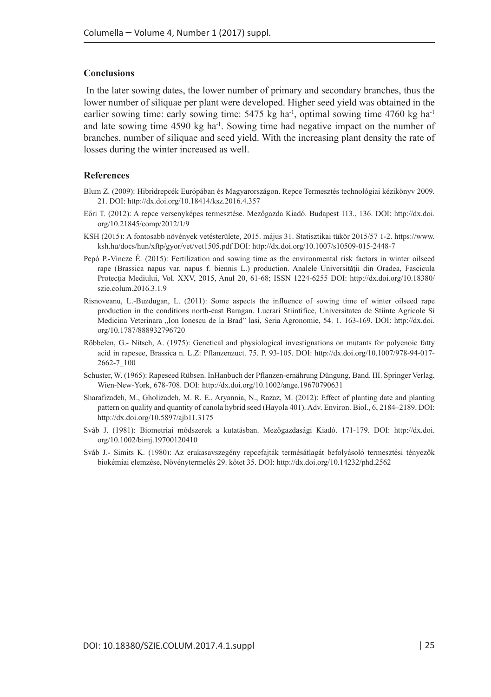#### **Conclusions**

 In the later sowing dates, the lower number of primary and secondary branches, thus the lower number of siliquae per plant were developed. Higher seed yield was obtained in the earlier sowing time: early sowing time:  $5475$  kg ha<sup>-1</sup>, optimal sowing time  $4760$  kg ha<sup>-1</sup> and late sowing time 4590 kg ha-1. Sowing time had negative impact on the number of branches, number of siliquae and seed yield. With the increasing plant density the rate of losses during the winter increased as well.

#### **References**

- Blum Z. (2009): Hibridrepcék Európában és Magyarországon. Repce Termesztés technológiai kézikönyv 2009. 21. DOI: http://dx.doi.org/10.18414/ksz.2016.4.357
- Eőri T. (2012): A repce versenyképes termesztése. Mezőgazda Kiadó. Budapest 113., 136. DOI: http://dx.doi. org/10.21845/comp/2012/1/9
- KSH (2015): A fontosabb növények vetésterülete, 2015. május 31. Statisztikai tükör 2015/57 1-2. https://www. ksh.hu/docs/hun/xftp/gyor/vet/vet1505.pdf DOI: http://dx.doi.org/10.1007/s10509-015-2448-7
- Pepó P.-Vincze É. (2015): Fertilization and sowing time as the environmental risk factors in winter oilseed rape (Brassica napus var. napus f. biennis L.) production. Analele Universităţii din Oradea, Fascicula Protecţia Mediului, Vol. XXV, 2015, Anul 20, 61-68; ISSN 1224-6255 DOI: http://dx.doi.org/10.18380/ szie.colum.2016.3.1.9
- Risnoveanu, L.-Buzdugan, L. (2011): Some aspects the influence of sowing time of winter oilseed rape production in the conditions north-east Baragan. Lucrari Stiintifice, Universitatea de Stiinte Agricole Si Medicina Veterinara "Ion Ionescu de la Brad" lasi, Seria Agronomie, 54. 1. 163-169. DOI: http://dx.doi. org/10.1787/888932796720
- Röbbelen, G.- Nitsch, A. (1975): Genetical and physiological investignations on mutants for polyenoic fatty acid in rapesee, Brassica n. L.Z: Pflanzenzuct. 75. P. 93-105. DOI: http://dx.doi.org/10.1007/978-94-017- 2662-7\_100
- Schuster, W. (1965): Rapeseed Rübsen. InHanbuch der Pflanzen-ernährung Düngung, Band. III. Springer Verlag, Wien-New-York, 678-708. DOI: http://dx.doi.org/10.1002/ange.19670790631
- Sharafizadeh, M., Gholizadeh, M. R. E., Aryannia, N., Razaz, M. (2012): Effect of planting date and planting pattern on quality and quantity of canola hybrid seed (Hayola 401). Adv. Environ. Biol., 6, 2184–2189. DOI: http://dx.doi.org/10.5897/ajb11.3175
- Sváb J. (1981): Biometriai módszerek a kutatásban. Mezőgazdasági Kiadó. 171-179. DOI: http://dx.doi. org/10.1002/bimj.19700120410
- Sváb J.- Simits K. (1980): Az erukasavszegény repcefajták termésátlagát befolyásoló termesztési tényezők biokémiai elemzése, Növénytermelés 29. kötet 35. DOI: http://dx.doi.org/10.14232/phd.2562